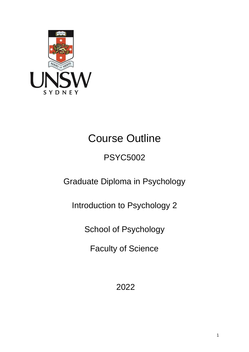

# Course Outline

## PSYC5002

Graduate Diploma in Psychology

Introduction to Psychology 2

School of Psychology

Faculty of Science

2022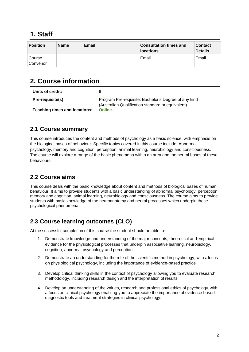## **1. Staff**

| <b>Position</b>    | <b>Name</b> | Email | <b>Consultation times and</b><br><b>locations</b> | <b>Contact</b><br><b>Details</b> |
|--------------------|-------------|-------|---------------------------------------------------|----------------------------------|
| Course<br>Convenor |             |       | Email                                             | Email                            |

## **2. Course information**

| Units of credit:                     | 6                                                                                                         |
|--------------------------------------|-----------------------------------------------------------------------------------------------------------|
| Pre-requisite(s):                    | Program Pre-requisite: Bachelor's Degree of any kind<br>(Australian Qualification standard or equivalent) |
| <b>Teaching times and locations:</b> | <b>Online</b>                                                                                             |

#### **2.1 Course summary**

This course introduces the content and methods of psychology as a basic science, with emphasis on the biological bases of behaviour. Specific topics covered in this course include: Abnormal psychology, memory and cognition, perception, animal learning, neurobiology and consciousness. The course will explore a range of the basic phenomena within an area and the neural bases of these behaviours.

#### **2.2 Course aims**

This course deals with the basic knowledge about content and methods of biological bases of human behaviour. It aims to provide students with a basic understanding of abnormal psychology, perception, memory and cognition, animal learning, neurobiology and consciousness. The course aims to provide students with basic knowledge of the neuroanatomy and neural processes which underpin these psychological phenomena.

## **2.3 Course learning outcomes (CLO)**

At the successful completion of this course the student should be able to:

- 1. Demonstrate knowledge and understanding of the major concepts, theoretical andempirical evidence for the physiological processes that underpin associative learning, neurobiology, cognition, abnormal psychology and perception.
- 2. Demonstrate an understanding for the role of the scientific method in psychology, with afocus on physiological psychology, including the importance of evidence-based practice
- 3. Develop critical thinking skills in the context of psychology allowing you to evaluate research methodology, including research design and the interpretation of results.
- 4. Develop an understanding of the values, research and professional ethics of psychology, with a focus on clinical psychology enabling you to appreciate the importance of evidence based diagnostic tools and treatment strategies in clinical psychology.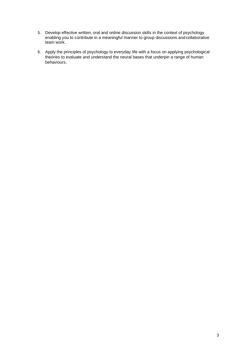- 5. Develop effective written, oral and online discussion skills in the context of psychology enabling you to contribute in a meaningful manner to group discussions andcollaborative team work.
- 6. Apply the principles of psychology to everyday life with a focus on applying psychological theories to evaluate and understand the neural bases that underpin a range of human behaviours.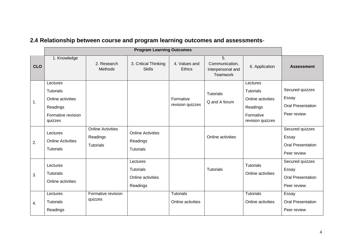|            |                                                                                                |                                                          | <b>Program Learning Outcomes</b>                              |                                       |                                                       |                                                                                                |                                                                     |
|------------|------------------------------------------------------------------------------------------------|----------------------------------------------------------|---------------------------------------------------------------|---------------------------------------|-------------------------------------------------------|------------------------------------------------------------------------------------------------|---------------------------------------------------------------------|
| <b>CLO</b> | 1. Knowledge                                                                                   | 2. Research<br>Methods                                   | 3. Critical Thinking<br><b>Skills</b>                         | 4. Values and<br><b>Ethics</b>        | 5.<br>Communication,<br>Interpersonal and<br>Teamwork | 6. Application                                                                                 | <b>Assessment</b>                                                   |
| 1.         | Lectures<br><b>Tutorials</b><br>Online activities<br>Readings<br>Formative revision<br>quizzes |                                                          |                                                               | Formative<br>revision quizzes         | <b>Tutorials</b><br>Q and A forum                     | Lectures<br><b>Tutorials</b><br>Online activities<br>Readings<br>Formative<br>revision quizzes | Secured quizzes<br>Essay<br><b>Oral Presentation</b><br>Peer review |
| 2.         | Lectures<br><b>Online Activities</b><br><b>Tutorials</b>                                       | <b>Online Activities</b><br>Readings<br><b>Tutorials</b> | <b>Online Activities</b><br>Readings<br>Tutorials             |                                       | Online activities                                     |                                                                                                | Secured quizzes<br>Essay<br><b>Oral Presentation</b><br>Peer review |
| 3.         | Lectures<br><b>Tutorials</b><br>Online activities                                              |                                                          | Lectures<br><b>Tutorials</b><br>Online activities<br>Readings |                                       | <b>Tutorials</b>                                      | Tutorials<br>Online activities                                                                 | Secured quizzes<br>Essay<br><b>Oral Presentation</b><br>Peer review |
| 4.         | Lectures<br><b>Tutorials</b><br>Readings                                                       | Formative revision<br>quizzes                            |                                                               | <b>Tutorials</b><br>Online activities |                                                       | <b>Tutorials</b><br>Online activities                                                          | Essay<br><b>Oral Presentation</b><br>Peer review                    |

## **2.4 Relationship between course and program learning outcomes and assessments-**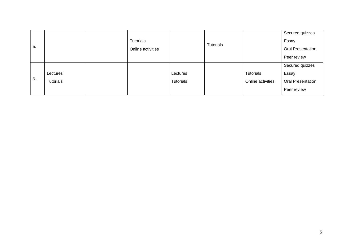| 5. |           | Tutorials<br>Online activities |           | Tutorials |                   | Secured quizzes<br>Essay<br><b>Oral Presentation</b> |
|----|-----------|--------------------------------|-----------|-----------|-------------------|------------------------------------------------------|
|    |           |                                |           |           |                   |                                                      |
|    |           |                                |           |           |                   | Peer review                                          |
|    |           |                                |           |           |                   | Secured quizzes                                      |
|    | Lectures  |                                | Lectures  |           | <b>Tutorials</b>  | Essay                                                |
| 6. | Tutorials |                                | Tutorials |           | Online activities | <b>Oral Presentation</b>                             |
|    |           |                                |           |           |                   | Peer review                                          |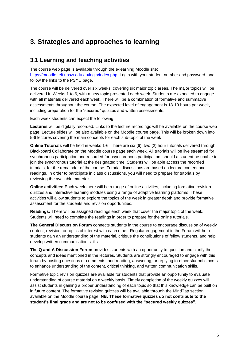## **3. Strategies and approaches to learning**

#### **3.1 Learning and teaching activities**

The course web page is available through the e-learning Moodle site: [https://moodle.telt.unsw.edu.au/login/index.php.](https://moodle.telt.unsw.edu.au/login/index.php) Login with your student number and password, and follow the links to the PSYC page.

The course will be delivered over six weeks, covering six major topic areas. The major topics will be delivered in Weeks 1 to 6, with a new topic presented each week. Students are expected to engage with all materials delivered each week. There will be a combination of formative and summative assessments throughout the course. The expected level of engagement is 18-19 hours per week, including preparation for the "secured" quizzes and written assessments.

Each week students can expect the following:

**Lectures** will be digitally recorded. Links to the lecture recordings will be available on the course web page. Lecture slides will be also available on the Moodle course page. This will be broken down into 5-6 lectures covering the main concepts for each sub-topic of the week

**Online Tutorials** will be held in weeks 1-6. There are six (6), two (2) hour tutorials delivered through Blackboard Collaborate on the Moodle course page each week. All tutorials will be live streamed for synchronous participation and recorded for asynchronous participation, should a student be unable to join the synchronous tutorial at the designated time. Students will be able access the recorded tutorials, for the remainder of the course. Tutorial discussions are based on lecture content and readings. In order to participate in class discussions, you will need to prepare for tutorials by reviewing the available materials.

**Online activities:** Each week there will be a range of online activities, including formative revision quizzes and interactive learning modules using a range of adaptive learning platforms. These activities will allow students to explore the topics of the week in greater depth and provide formative assessment for the students and revision opportunities.

**Readings:** There will be assigned readings each week that cover the major topic of the week. Students will need to complete the readings in order to prepare for the online tutorials.

**The General Discussion Forum** connects students in the course to encourage discussion of weekly content, revision, or topics of interest with each other. Regular engagement in the Forum will help students gain an understanding of the material, critique the contributions of fellow students, and help develop written communication skills.

**The Q and A Discussion Forum** provides students with an opportunity to question and clarify the concepts and ideas mentioned in the lectures. Students are strongly encouraged to engage with this forum by posting questions or comments, and reading, answering, or replying to other student's posts to enhance understanding of the content, critical thinking, and written communication skills.

Formative topic revision quizzes are available for students that provide an opportunity to evaluate understanding of course material on a weekly basis. Timely completion of the weekly quizzes will assist students in gaining a proper understanding of each topic so that this knowledge can be built on in future content. The formative revision quizzes will be available through the MindTap section available on the Moodle course page. **NB: These formative quizzes do not contribute to the student's final grade and are not to be confused with the "secured weekly quizzes".**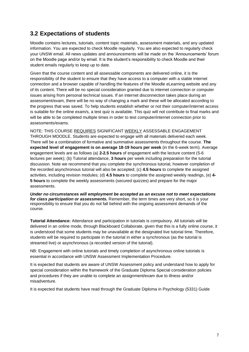#### **3.2 Expectations of students**

Moodle contains lectures, tutorials, content topic materials, assessment materials, and any updated information. You are expected to check Moodle regularly. You are also expected to regularly check your UNSW email. All news updates and announcements will be made on the 'Announcements' forum on the Moodle page and/or by email. It is the student's responsibility to check Moodle and their student emails regularly to keep up to date.

Given that the course content and all assessable components are delivered online, it is the responsibility of the student to ensure that they have access to a computer with a stable internet connection and a browser capable of handling the features of the Moodle eLearning website and any of its content. There will be no special consideration granted due to internet connection or computer issues arising from personal technical issues. If an internet disconnection takes place during an assessment/exam, there will be no way of changing a mark and these will be allocated according to the progress that was saved. To help students establish whether or not their computer/internet access is suitable for the online exam/s, a test quiz is available. This quiz will not contribute to final marks and will be able to be completed multiple times in order to test computer/internet connection prior to assessments/exams.

NOTE: THIS COURSE REQUIRES SIGNIFICANT WEEKLY ASSESSABLE ENGAGEMENT THROUGH MOODLE. Students are expected to engage with all materials delivered each week. There will be a combination of formative and summative assessments throughout the course. **The expected level of engagement is on average 18-19 hours per week** (in the 6-week term). Average engagement levels are as follows (a) **2-2.5 hours** of engagement with the lecture content (5-6 lectures per week); (b) Tutorial attendance, **3 hours** per week including preparation for the tutorial discussion. Note we recommend that you complete the synchronous tutorial, however completion of the recorded asynchronous tutorial will also be accepted; (c) **4.5 hours** to complete the assigned activities, including revision modules; (d) **4.5 hours** to complete the assigned weekly readings, (e) **4- 5 hours** to complete the weekly assessments (secured quizzes) and prepare for the major assessments.

*Under no circumstances will employment be accepted as an excuse not to meet expectations for class participation or assessments.* Remember, the term times are very short, so it is your responsibility to ensure that you do not fall behind with the ongoing assessment demands of the course.

**Tutorial Attendance:** Attendance and participation in tutorials is compulsory. All tutorials will be delivered in an online mode, through Blackboard Collaborate, given that this is a fully online course, it is understood that some students may be unavailable at the designated live tutorial time. Therefore, students will be required to participate in the tutorial in either a synchronous (as the tutorial is streamed live) or asynchronous (a recorded version of the tutorial).

NB: Engagement with online tutorials and timely completion of asynchronous online tutorials is essential in accordance with UNSW Assessment Implementation Procedure.

It is expected that students are aware of UNSW Assessment policy and understand how to apply for special consideration within the framework of the Graduate Diploma Special consideration policies and procedures if they are unable to complete an assignment/exam due to illness and/or misadventure.

It is expected that students have read through the Graduate Diploma in Psychology (5331) Guide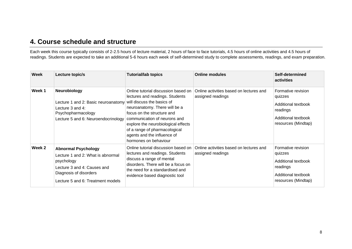## **4. Course schedule and structure**

Each week this course typically consists of 2-2.5 hours of lecture material, 2 hours of face to face tutorials, 4.5 hours of online activities and 4.5 hours of readings. Students are expected to take an additional 5-6 hours each week of self-determined study to complete assessments, readings, and exam preparation.

| Week   | Lecture topic/s                                                                                                                                                             | <b>Tutorial/lab topics</b>                                                                                                                                                                                                                                                                                                          | <b>Online modules</b>                                        | Self-determined<br>activities                                                                                  |
|--------|-----------------------------------------------------------------------------------------------------------------------------------------------------------------------------|-------------------------------------------------------------------------------------------------------------------------------------------------------------------------------------------------------------------------------------------------------------------------------------------------------------------------------------|--------------------------------------------------------------|----------------------------------------------------------------------------------------------------------------|
| Week 1 | Neurobiology<br>Lecture 1 and 2: Basic neuroanatomy<br>Lecture 3 and 4:<br>Psychopharmacology<br>Lecture 5 and 6: Neuroendocrinology                                        | Online tutorial discussion based on<br>lectures and readings. Students<br>will discuss the basics of<br>neuroanatomy. There will be a<br>focus on the structure and<br>communication of neurons and<br>explore the neurobiological effects<br>of a range of pharmacological<br>agents and the influence of<br>hormones on behaviour | Online activities based on lectures and<br>assigned readings | Formative revision<br>quizzes<br>Additional textbook<br>readings<br>Additional textbook<br>resources (Mindtap) |
| Week 2 | <b>Abnormal Psychology</b><br>Lecture 1 and 2: What is abnormal<br>psychology<br>Lecture 3 and 4: Causes and<br>Diagnosis of disorders<br>Lecture 5 and 6: Treatment models | Online tutorial discussion based on<br>lectures and readings. Students<br>discuss a range of mental<br>disorders. There will be a focus on<br>the need for a standardised and<br>evidence based diagnostic tool                                                                                                                     | Online activities based on lectures and<br>assigned readings | Formative revision<br>quizzes<br>Additional textbook<br>readings<br>Additional textbook<br>resources (Mindtap) |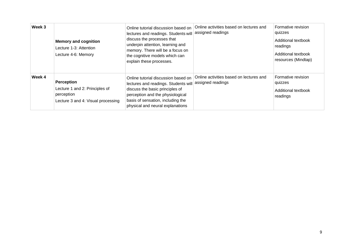| Week 3 | <b>Memory and cognition</b><br>Lecture 1-3: Attention<br>Lecture 4-6: Memory                     | Online tutorial discussion based on<br>lectures and readings. Students will<br>discuss the processes that<br>underpin attention, learning and<br>memory. There will be a focus on<br>the cognitive models which can<br>explain these processes. | Online activities based on lectures and<br>assigned readings | Formative revision<br>quizzes<br>Additional textbook<br>readings<br>Additional textbook<br>resources (Mindtap) |
|--------|--------------------------------------------------------------------------------------------------|-------------------------------------------------------------------------------------------------------------------------------------------------------------------------------------------------------------------------------------------------|--------------------------------------------------------------|----------------------------------------------------------------------------------------------------------------|
| Week 4 | Perception<br>Lecture 1 and 2: Principles of<br>perception<br>Lecture 3 and 4: Visual processing | Online tutorial discussion based on<br>lectures and readings. Students will<br>discuss the basic principles of<br>perception and the physiological<br>basis of sensation, including the<br>physical and neural explanations                     | Online activities based on lectures and<br>assigned readings | Formative revision<br>quizzes<br>Additional textbook<br>readings                                               |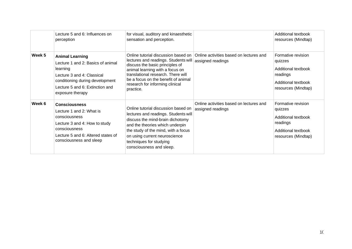|        | Lecture 5 and 6: Influences on<br>perception                                                                                                                                                    | for visual, auditory and kinaesthetic<br>sensation and perception.                                                                                                                                                                                                                |                                                              | Additional textbook<br>resources (Mindtap)                                                                     |
|--------|-------------------------------------------------------------------------------------------------------------------------------------------------------------------------------------------------|-----------------------------------------------------------------------------------------------------------------------------------------------------------------------------------------------------------------------------------------------------------------------------------|--------------------------------------------------------------|----------------------------------------------------------------------------------------------------------------|
| Week 5 | <b>Animal Learning</b><br>Lecture 1 and 2: Basics of animal<br>learning<br>Lecture 3 and 4: Classical<br>conditioning during development<br>Lecture 5 and 6: Extinction and<br>exposure therapy | Online tutorial discussion based on<br>lectures and readings. Students will<br>discuss the basic principles of<br>animal learning with a focus on<br>translational research. There will<br>be a focus on the benefit of animal<br>research for informing clinical<br>practice.    | Online activities based on lectures and<br>assigned readings | Formative revision<br>quizzes<br>Additional textbook<br>readings<br>Additional textbook<br>resources (Mindtap) |
| Week 6 | <b>Consciousness</b><br>Lecture 1 and 2: What is<br>consciousness<br>Lecture 3 and 4: How to study<br>consciousness<br>Lecture 5 and 6: Altered states of<br>consciousness and sleep            | Online tutorial discussion based on<br>lectures and readings. Students will<br>discuss the mind-brain dichotomy<br>and the theories which underpin<br>the study of the mind, with a focus<br>on using current neuroscience<br>techniques for studying<br>consciousness and sleep. | Online activities based on lectures and<br>assigned readings | Formative revision<br>quizzes<br>Additional textbook<br>readings<br>Additional textbook<br>resources (Mindtap) |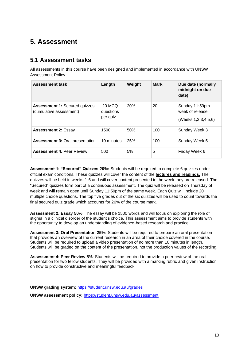## **5. Assessment**

#### **5.1 Assessment tasks**

All assessments in this course have been designed and implemented in accordance with UNSW Assessment Policy.

| <b>Assessment task</b>                                          | Length                          | Weight | <b>Mark</b> | Due date (normally<br>midnight on due<br>date)           |
|-----------------------------------------------------------------|---------------------------------|--------|-------------|----------------------------------------------------------|
| <b>Assessment 1: Secured quizzes</b><br>(cumulative assessment) | 20 MCQ<br>questions<br>per quiz | 20%    | 20          | Sunday 11:59pm<br>week of release<br>(Weeks 1,2,3,4,5,6) |
| <b>Assessment 2: Essay</b>                                      | 1500                            | 50%    | 100         | Sunday Week 3                                            |
| <b>Assessment 3: Oral presentation</b>                          | 10 minutes                      | 25%    | 100         | Sunday Week 5                                            |
| <b>Assessment 4: Peer Review</b>                                | 500                             | 5%     | 5           | Friday Week 6                                            |

**Assessment 1: "Secured" Quizzes 20%:** Students will be required to complete 6 quizzes under official exam conditions. These quizzes will cover the content of the **lectures and readings.** The quizzes will be held in weeks 1-6 and will cover content presented in the week they are released. The "Secured" quizzes form part of a continuous assessment. The quiz will be released on Thursday of week and will remain open until Sunday 11:59pm of the same week. Each Quiz will include 20 multiple choice questions. The top five grades out of the six quizzes will be used to count towards the final secured quiz grade which accounts for 20% of the course mark.

**Assessment 2: Essay 50%**: The essay will be 1500 words and will focus on exploring the role of stigma in a clinical disorder of the student's choice. This assessment aims to provide students with the opportunity to develop an understanding of evidence-based research and practice.

**Assessment 3: Oral Presentation 25%:** Students will be required to prepare an oral presentation that provides an overview of the current research in an area of their choice covered in the course. Students will be required to upload a video presentation of no more than 10 minutes in length. Students will be graded on the content of the presentation, not the production values of the recording.

**Assessment 4: Peer Review 5%**: Students will be required to provide a peer review of the oral presentation for two fellow students. They will be provided with a marking rubric and given instruction on how to provide constructive and meaningful feedback.

**UNSW grading system:** <https://student.unsw.edu.au/grades>

**UNSW assessment policy:** <https://student.unsw.edu.au/assessment>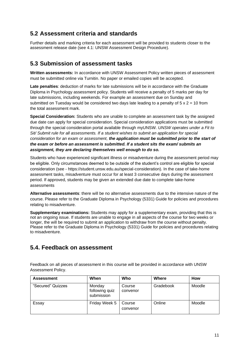#### **5.2 Assessment criteria and standards**

Further details and marking criteria for each assessment will be provided to students closer to the assessment release date (see 4.1: UNSW Assessment Design Procedure).

#### **5.3 Submission of assessment tasks**

**Written assessments:** In accordance with UNSW Assessment Policy written pieces of assessment must be submitted online via Turnitin. No paper or emailed copies will be accepted.

**Late penalties**: deduction of marks for late submissions will be in accordance with the Graduate Diploma in Psychology assessment policy. Students will receive a penalty of 5 marks per day for late submissions, including weekends. For example an assessment due on Sunday and submitted on Tuesday would be considered two days late leading to a penalty of  $5 \times 2 = 10$  from the total assessment mark.

**Special Consideration:** Students who are unable to complete an assessment task by the assigned due date can apply for special consideration. Special consideration applications must be submitted through the special consideration portal available through myUNSW. *UNSW operates under a Fit to Sit/ Submit rule for all assessments. If a student wishes to submit an application for special consideration for an exam or assessment, the application must be submitted prior to the start of the exam or before an assessment is submitted. If a student sits the exam/ submits an assignment, they are declaring themselves well enough to do so.*

Students who have experienced significant illness or misadventure during the assessment period may be eligible. Only circumstances deemed to be outside of the student's control are eligible for special consideration (see - https://student.unsw.edu.au/special-consideration). In the case of take-home assessment tasks, misadventure must occur for at least 3 consecutive days during the assessment period. If approved, students may be given an extended due date to complete take-home assessments

**Alternative assessments**: there will be no alternative assessments due to the intensive nature of the course. Please refer to the Graduate Diploma in Psychology (5331) Guide for policies and procedures relating to misadventure.

**Supplementary examinations:** Students may apply for a supplementary exam, providing that this is not an ongoing issue. If students are unable to engage in all aspects of the course for two weeks or longer, the will be required to submit an application to withdraw from the course without penalty. Please refer to the Graduate Diploma in Psychology (5331) Guide for policies and procedures relating to misadventure.

## **5.4. Feedback on assessment**

Feedback on all pieces of assessment in this course will be provided in accordance with UNSW Assessment Policy.

| <b>Assessment</b> | When                                   | Who                | Where     | <b>How</b> |
|-------------------|----------------------------------------|--------------------|-----------|------------|
| "Secured" Quizzes | Monday<br>following quiz<br>submission | Course<br>convenor | Gradebook | Moodle     |
| Essay             | Friday Week 5                          | Course<br>convenor | Online    | Moodle     |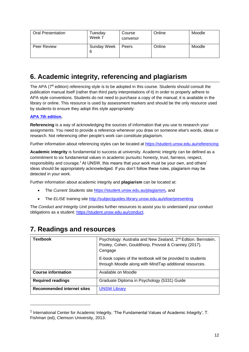| <b>Oral Presentation</b> | <sup>-</sup> uesdav<br>Week 7 | Course<br>convenor | Online | Moodle |
|--------------------------|-------------------------------|--------------------|--------|--------|
| Peer Review              | <b>Sunday Week</b><br>6       | Peers              | Online | Moodle |

## **6. Academic integrity, referencing and plagiarism**

The APA (7<sup>th</sup> edition) referencing style is to be adopted in this course. Students should consult the publication manual itself (rather than third party interpretations of it) in order to properly adhere to APA style conventions. Students do not need to purchase a copy of the manual; it is available in the library or online. This resource is used by assessment markers and should be the only resource used by students to ensure they adopt this style appropriately:

#### **[APA 7th edition.](http://www.apastyle.org/manual/index.aspx)**

**Referencing** is a way of acknowledging the sources of information that you use to research your assignments. You need to provide a reference whenever you draw on someone else's words, ideas or research. Not referencing other people's work can constitute plagiarism.

Further information about referencing styles can be located at<https://student.unsw.edu.au/referencing>

**Academic integrity** is fundamental to success at university. Academic integrity can be defined as a commitment to six fundamental values in academic pursuits**:** honesty, trust, fairness, respect, responsibility and courage.*<sup>1</sup>*At UNSW, this means that your work must be your own, and others' ideas should be appropriately acknowledged. If you don't follow these rules, plagiarism may be detected in your work.

Further information about academic integrity and **plagiarism** can be located at:

- The *Current Students* site <https://student.unsw.edu.au/plagiarism>*,* and
- The *ELISE* training site <http://subjectguides.library.unsw.edu.au/elise/presenting>

The *Conduct and Integrity Unit* provides further resources to assist you to understand your conduct obligations as a student: [https://student.unsw.edu.au/conduct.](https://student.unsw.edu.au/conduct)

| <b>Textbook</b>                   | Psychology: Australia and New Zealand, 2 <sup>nd</sup> Edition. Bernstein,<br>Pooley, Cohen, Gouldthorp, Provost & Cranney (2017).<br>Cengage |
|-----------------------------------|-----------------------------------------------------------------------------------------------------------------------------------------------|
|                                   | E-book copies of the textbook will be provided to students<br>through Moodle along with MindTap additional resources.                         |
| <b>Course information</b>         | Available on Moodle                                                                                                                           |
| <b>Required readings</b>          | Graduate Diploma in Psychology (5331) Guide                                                                                                   |
| <b>Recommended internet sites</b> | <b>UNSW Library</b>                                                                                                                           |

## **7. Readings and resources**

<sup>&</sup>lt;sup>1</sup> International Center for Academic Integrity, 'The Fundamental Values of Academic Integrity', T. Fishman (ed), Clemson University, 2013.